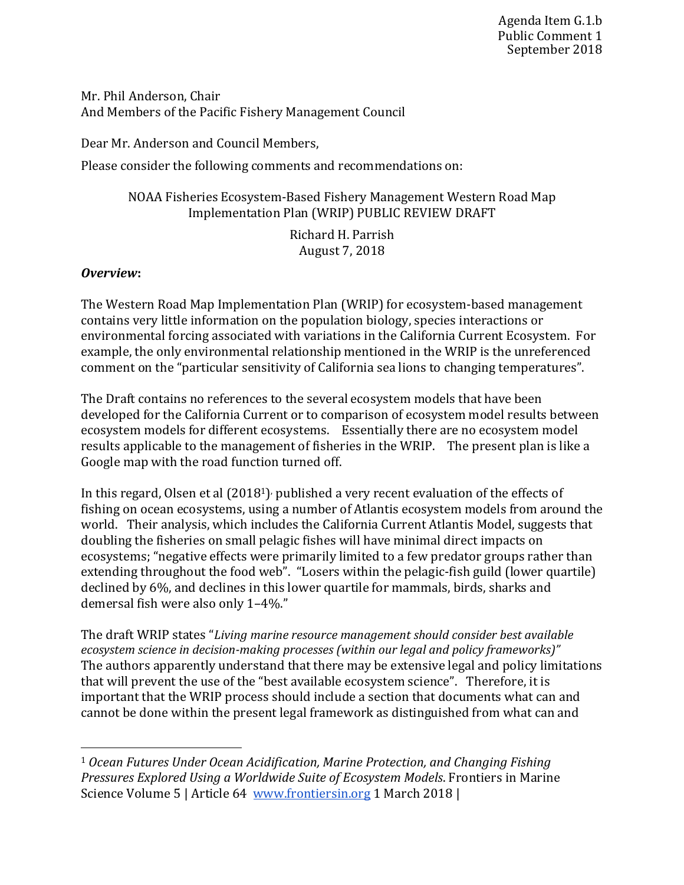Mr. Phil Anderson, Chair And Members of the Pacific Fishery Management Council

Dear Mr. Anderson and Council Members,

Please consider the following comments and recommendations on:

# NOAA Fisheries Ecosystem-Based Fishery Management Western Road Map Implementation Plan (WRIP) PUBLIC REVIEW DRAFT

Richard H. Parrish August 7, 2018 

# **Overview:**

The Western Road Map Implementation Plan (WRIP) for ecosystem-based management contains very little information on the population biology, species interactions or environmental forcing associated with variations in the California Current Ecosystem. For example, the only environmental relationship mentioned in the WRIP is the unreferenced comment on the "particular sensitivity of California sea lions to changing temperatures".

The Draft contains no references to the several ecosystem models that have been developed for the California Current or to comparison of ecosystem model results between ecosystem models for different ecosystems. Essentially there are no ecosystem model results applicable to the management of fisheries in the WRIP. The present plan is like a Google map with the road function turned off.

In this regard, Olsen et al  $(2018<sup>1</sup>)$ , published a very recent evaluation of the effects of fishing on ocean ecosystems, using a number of Atlantis ecosystem models from around the world. Their analysis, which includes the California Current Atlantis Model, suggests that doubling the fisheries on small pelagic fishes will have minimal direct impacts on ecosystems; "negative effects were primarily limited to a few predator groups rather than extending throughout the food web". "Losers within the pelagic-fish guild (lower quartile) declined by 6%, and declines in this lower quartile for mammals, birds, sharks and demersal fish were also only 1-4%."

The draft WRIP states "Living marine resource management should consider best available *ecosystem science in decision-making processes (within our legal and policy frameworks)*" The authors apparently understand that there may be extensive legal and policy limitations that will prevent the use of the "best available ecosystem science". Therefore, it is important that the WRIP process should include a section that documents what can and cannot be done within the present legal framework as distinguished from what can and

<sup>&</sup>lt;sup>1</sup> Ocean Futures Under Ocean Acidification, Marine Protection, and Changing Fishing *Pressures Explored Using a Worldwide Suite of Ecosystem Models.* Frontiers in Marine Science Volume 5 | Article 64 www.frontiersin.org 1 March 2018 |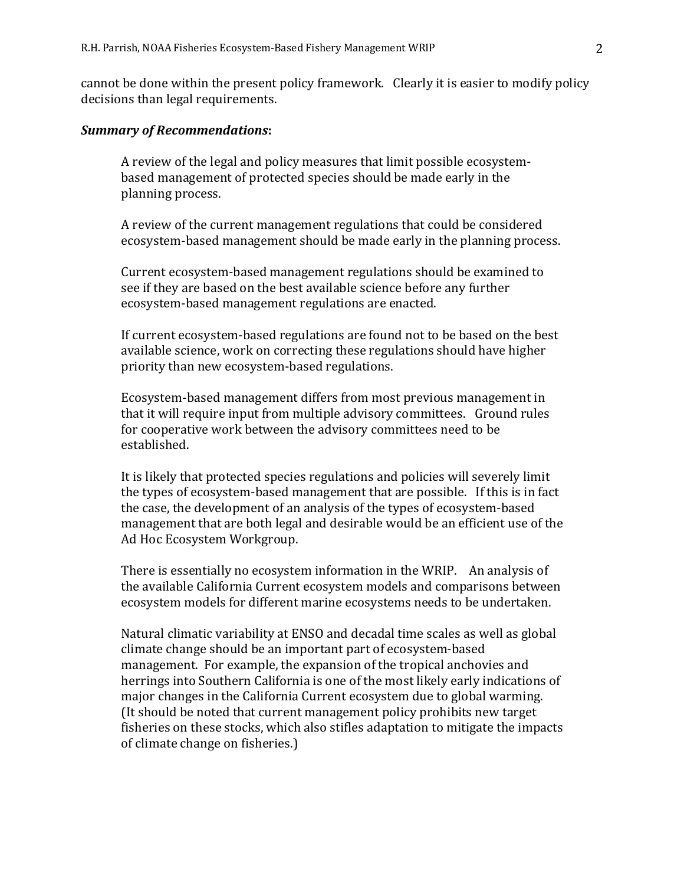cannot be done within the present policy framework. Clearly it is easier to modify policy decisions than legal requirements.

#### *Summary of Recommendations***:**

A review of the legal and policy measures that limit possible ecosystembased management of protected species should be made early in the planning process.

A review of the current management regulations that could be considered ecosystem-based management should be made early in the planning process.

Current ecosystem-based management regulations should be examined to see if they are based on the best available science before any further ecosystem-based management regulations are enacted.

If current ecosystem-based regulations are found not to be based on the best available science, work on correcting these regulations should have higher priority than new ecosystem-based regulations.

Ecosystem-based management differs from most previous management in that it will require input from multiple advisory committees. Ground rules for cooperative work between the advisory committees need to be established. 

It is likely that protected species regulations and policies will severely limit the types of ecosystem-based management that are possible. If this is in fact the case, the development of an analysis of the types of ecosystem-based management that are both legal and desirable would be an efficient use of the Ad Hoc Ecosystem Workgroup.

There is essentially no ecosystem information in the WRIP. An analysis of the available California Current ecosystem models and comparisons between ecosystem models for different marine ecosystems needs to be undertaken.

Natural climatic variability at ENSO and decadal time scales as well as global climate change should be an important part of ecosystem-based management. For example, the expansion of the tropical anchovies and herrings into Southern California is one of the most likely early indications of major changes in the California Current ecosystem due to global warming. (It should be noted that current management policy prohibits new target fisheries on these stocks, which also stifles adaptation to mitigate the impacts of climate change on fisheries.)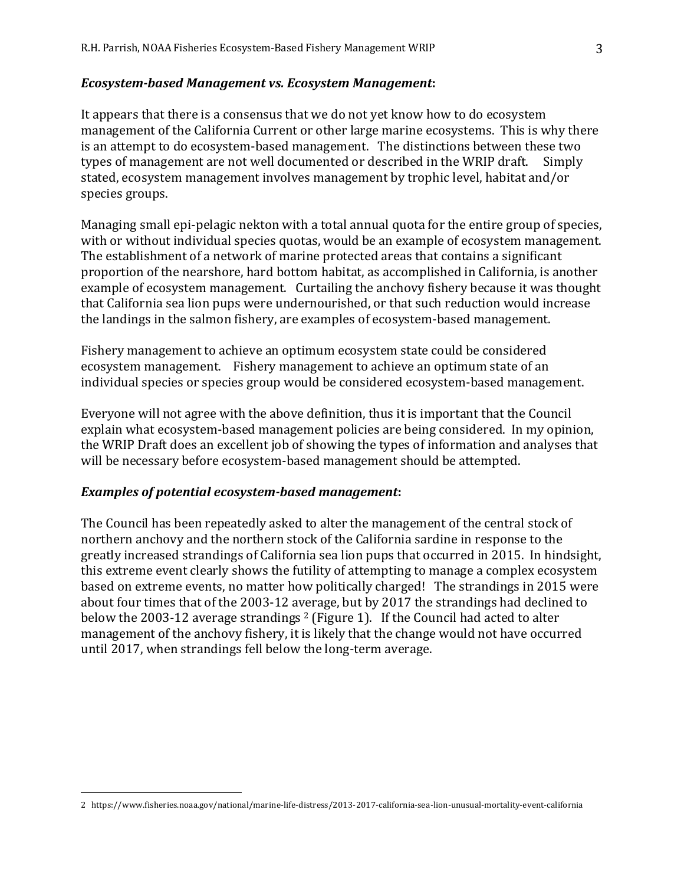### *Ecosystem-based Management vs. Ecosystem Management***:**

It appears that there is a consensus that we do not yet know how to do ecosystem management of the California Current or other large marine ecosystems. This is why there is an attempt to do ecosystem-based management. The distinctions between these two types of management are not well documented or described in the WRIP draft. Simply stated, ecosystem management involves management by trophic level, habitat and/or species groups.

Managing small epi-pelagic nekton with a total annual quota for the entire group of species, with or without individual species quotas, would be an example of ecosystem management. The establishment of a network of marine protected areas that contains a significant proportion of the nearshore, hard bottom habitat, as accomplished in California, is another example of ecosystem management. Curtailing the anchovy fishery because it was thought that California sea lion pups were undernourished, or that such reduction would increase the landings in the salmon fishery, are examples of ecosystem-based management.

Fishery management to achieve an optimum ecosystem state could be considered ecosystem management. Fishery management to achieve an optimum state of an individual species or species group would be considered ecosystem-based management.

Everyone will not agree with the above definition, thus it is important that the Council explain what ecosystem-based management policies are being considered. In my opinion, the WRIP Draft does an excellent job of showing the types of information and analyses that will be necessary before ecosystem-based management should be attempted.

## Examples of potential ecosystem-based management:

 

The Council has been repeatedly asked to alter the management of the central stock of northern anchovy and the northern stock of the California sardine in response to the greatly increased strandings of California sea lion pups that occurred in 2015. In hindsight, this extreme event clearly shows the futility of attempting to manage a complex ecosystem based on extreme events, no matter how politically charged! The strandings in 2015 were about four times that of the 2003-12 average, but by 2017 the strandings had declined to below the 2003-12 average strandings  $2$  (Figure 1). If the Council had acted to alter management of the anchovy fishery, it is likely that the change would not have occurred until 2017, when strandings fell below the long-term average.

<sup>2</sup> https://www.fisheries.noaa.gov/national/marine-life-distress/2013-2017-california-sea-lion-unusual-mortality-event-california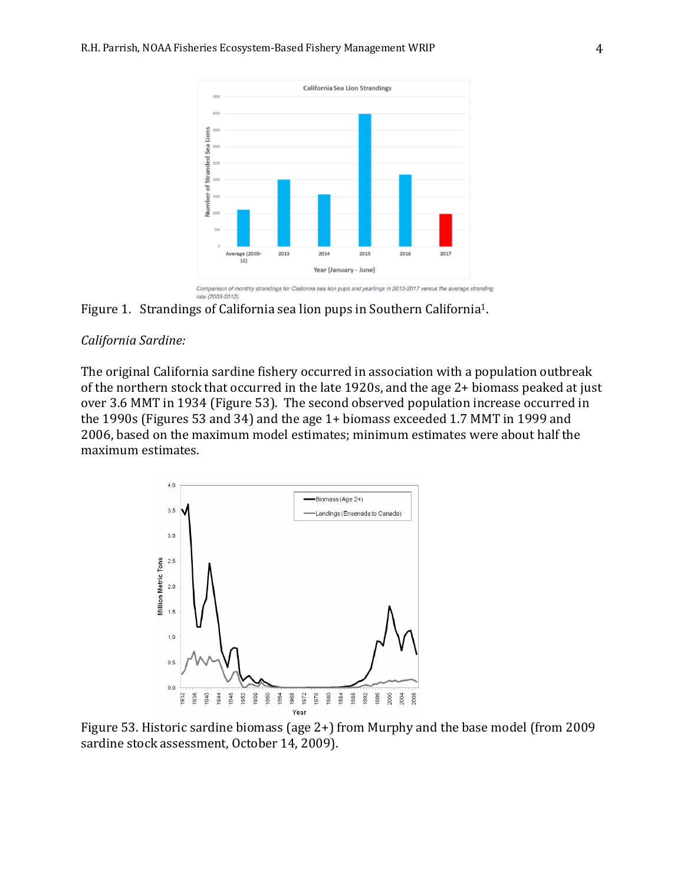

Figure 1. Strandings of California sea lion pups in Southern California<sup>1</sup>.

## *California Sardine:*

The original California sardine fishery occurred in association with a population outbreak of the northern stock that occurred in the late 1920s, and the age  $2+$  biomass peaked at just over 3.6 MMT in 1934 (Figure 53). The second observed population increase occurred in the 1990s (Figures 53 and 34) and the age  $1+$  biomass exceeded 1.7 MMT in 1999 and 2006, based on the maximum model estimates; minimum estimates were about half the maximum estimates.



Figure 53. Historic sardine biomass (age  $2+$ ) from Murphy and the base model (from 2009 sardine stock assessment, October 14, 2009).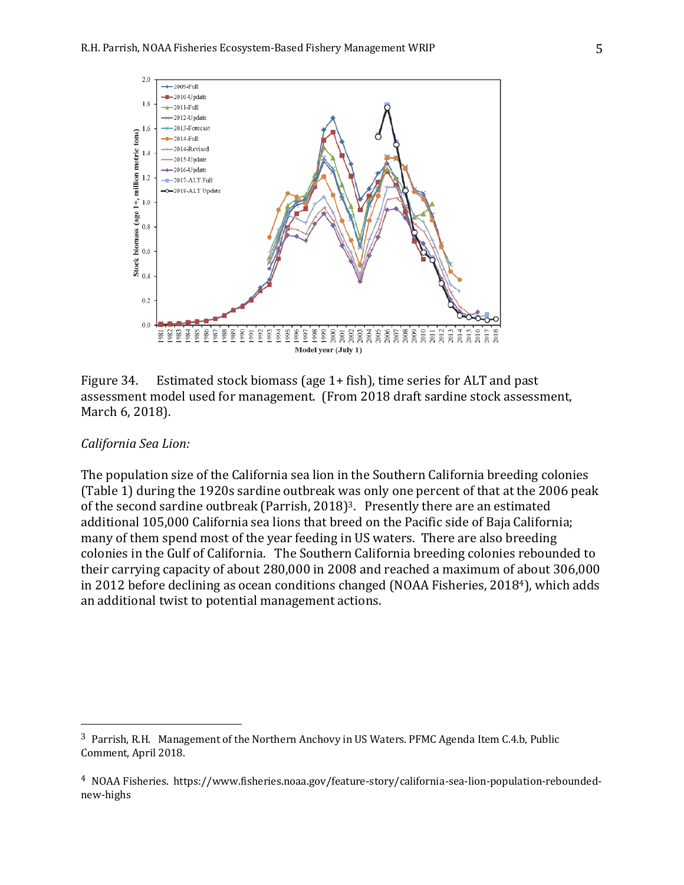

Figure 34. Estimated stock biomass (age 1+ fish), time series for ALT and past assessment model used for management. (From 2018 draft sardine stock assessment, March 6, 2018).

## *California Sea Lion:*

 

The population size of the California sea lion in the Southern California breeding colonies (Table 1) during the 1920s sardine outbreak was only one percent of that at the 2006 peak of the second sardine outbreak (Parrish, 2018)<sup>3</sup>. Presently there are an estimated additional 105,000 California sea lions that breed on the Pacific side of Baja California; many of them spend most of the year feeding in US waters. There are also breeding colonies in the Gulf of California. The Southern California breeding colonies rebounded to their carrying capacity of about 280,000 in 2008 and reached a maximum of about 306,000 in 2012 before declining as ocean conditions changed (NOAA Fisheries,  $2018<sup>4</sup>$ ), which adds an additional twist to potential management actions.

<sup>&</sup>lt;sup>3</sup> Parrish, R.H. Management of the Northern Anchovy in US Waters. PFMC Agenda Item C.4.b, Public Comment, April 2018.

<sup>&</sup>lt;sup>4</sup> NOAA Fisheries. https://www.fisheries.noaa.gov/feature-story/california-sea-lion-population-reboundednew-highs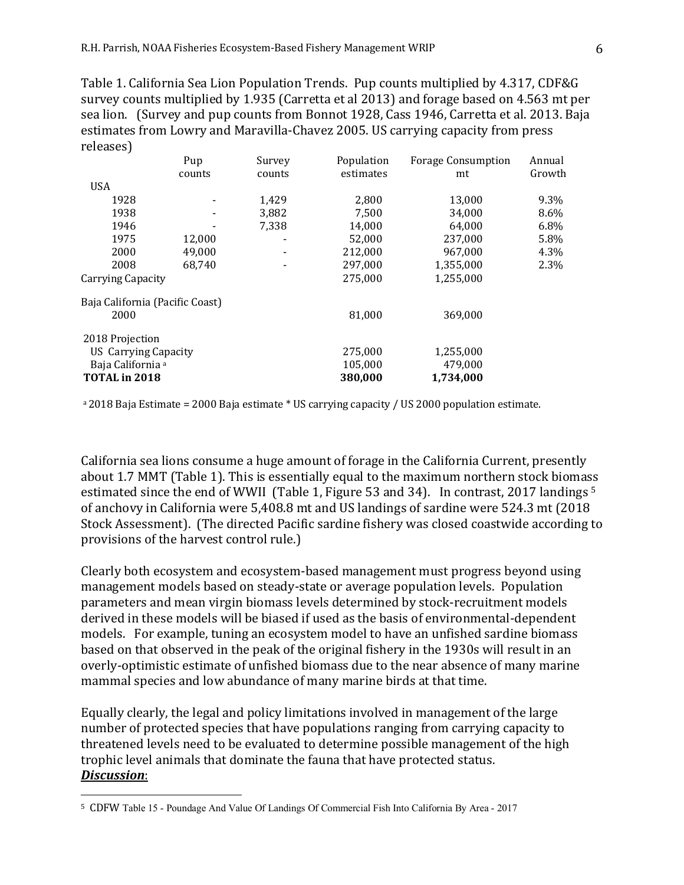Table 1. California Sea Lion Population Trends. Pup counts multiplied by 4.317, CDF&G survey counts multiplied by 1.935 (Carretta et al 2013) and forage based on 4.563 mt per sea lion. (Survey and pup counts from Bonnot 1928, Cass 1946, Carretta et al. 2013. Baja estimates from Lowry and Maravilla-Chavez 2005. US carrying capacity from press releases) 

|                                 | Pup    | Survey | Population | <b>Forage Consumption</b> | Annual |
|---------------------------------|--------|--------|------------|---------------------------|--------|
|                                 | counts | counts | estimates  | mt                        | Growth |
| <b>USA</b>                      |        |        |            |                           |        |
| 1928                            |        | 1,429  | 2,800      | 13,000                    | 9.3%   |
| 1938                            |        | 3,882  | 7,500      | 34,000                    | 8.6%   |
| 1946                            |        | 7,338  | 14,000     | 64,000                    | 6.8%   |
| 1975                            | 12,000 |        | 52,000     | 237,000                   | 5.8%   |
| 2000                            | 49,000 |        | 212,000    | 967,000                   | 4.3%   |
| 2008                            | 68,740 |        | 297,000    | 1,355,000                 | 2.3%   |
| Carrying Capacity               |        |        | 275,000    | 1,255,000                 |        |
| Baja California (Pacific Coast) |        |        |            |                           |        |
| 2000                            |        |        | 81,000     | 369,000                   |        |
| 2018 Projection                 |        |        |            |                           |        |
| US Carrying Capacity            |        |        | 275.000    | 1,255,000                 |        |
| Baja California <sup>a</sup>    |        |        | 105,000    | 479,000                   |        |
| TOTAL in 2018                   |        |        | 380,000    | 1,734,000                 |        |

 $a$  2018 Baja Estimate = 2000 Baja estimate  $*$  US carrying capacity / US 2000 population estimate.

California sea lions consume a huge amount of forage in the California Current, presently about 1.7 MMT (Table 1). This is essentially equal to the maximum northern stock biomass estimated since the end of WWII (Table 1, Figure 53 and 34). In contrast, 2017 landings  $5$ of anchovy in California were 5,408.8 mt and US landings of sardine were 524.3 mt (2018) Stock Assessment). (The directed Pacific sardine fishery was closed coastwide according to provisions of the harvest control rule.)

Clearly both ecosystem and ecosystem-based management must progress beyond using management models based on steady-state or average population levels. Population parameters and mean virgin biomass levels determined by stock-recruitment models derived in these models will be biased if used as the basis of environmental-dependent models. For example, tuning an ecosystem model to have an unfished sardine biomass based on that observed in the peak of the original fishery in the 1930s will result in an overly-optimistic estimate of unfished biomass due to the near absence of many marine mammal species and low abundance of many marine birds at that time.

Equally clearly, the legal and policy limitations involved in management of the large number of protected species that have populations ranging from carrying capacity to threatened levels need to be evaluated to determine possible management of the high trophic level animals that dominate the fauna that have protected status. *Discussion*: 

 

<sup>&</sup>lt;sup>5</sup> CDFW Table 15 - Poundage And Value Of Landings Of Commercial Fish Into California By Area - 2017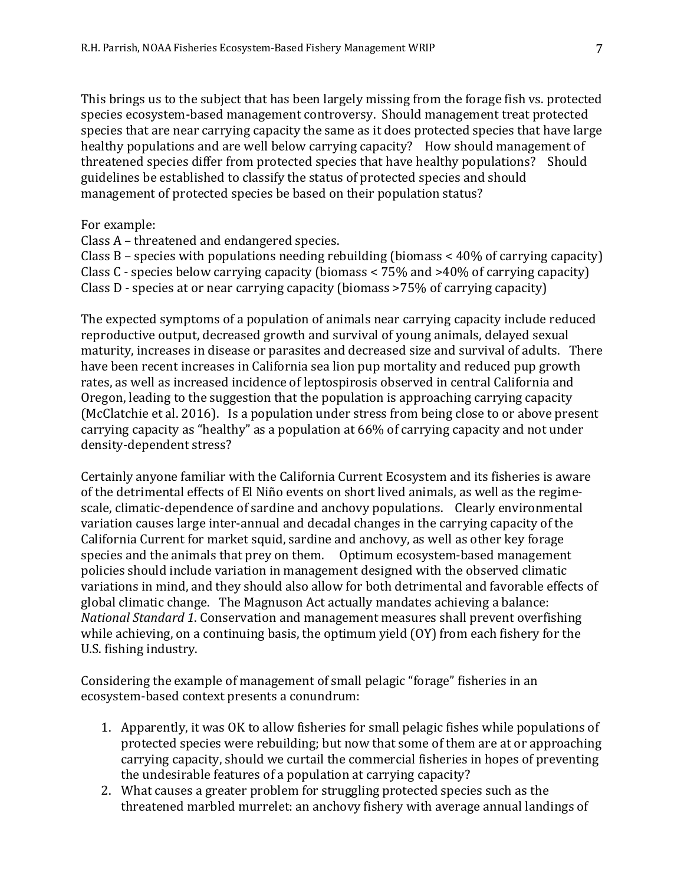This brings us to the subject that has been largely missing from the forage fish vs. protected species ecosystem-based management controversy. Should management treat protected species that are near carrying capacity the same as it does protected species that have large healthy populations and are well below carrying capacity? How should management of threatened species differ from protected species that have healthy populations? Should guidelines be established to classify the status of protected species and should management of protected species be based on their population status?

For example:

Class A – threatened and endangered species.

Class B – species with populations needing rebuilding (biomass  $\lt$  40% of carrying capacity) Class C - species below carrying capacity (biomass  $\lt 75\%$  and  $>40\%$  of carrying capacity) Class D - species at or near carrying capacity (biomass  $>75%$  of carrying capacity)

The expected symptoms of a population of animals near carrying capacity include reduced reproductive output, decreased growth and survival of young animals, delayed sexual maturity, increases in disease or parasites and decreased size and survival of adults. There have been recent increases in California sea lion pup mortality and reduced pup growth rates, as well as increased incidence of leptospirosis observed in central California and Oregon, leading to the suggestion that the population is approaching carrying capacity (McClatchie et al. 2016). Is a population under stress from being close to or above present carrying capacity as "healthy" as a population at 66% of carrying capacity and not under density-dependent stress?

Certainly anyone familiar with the California Current Ecosystem and its fisheries is aware of the detrimental effects of El Niño events on short lived animals, as well as the regimescale, climatic-dependence of sardine and anchovy populations. Clearly environmental variation causes large inter-annual and decadal changes in the carrying capacity of the California Current for market squid, sardine and anchovy, as well as other key forage species and the animals that prey on them. Optimum ecosystem-based management policies should include variation in management designed with the observed climatic variations in mind, and they should also allow for both detrimental and favorable effects of global climatic change. The Magnuson Act actually mandates achieving a balance: *National Standard 1.* Conservation and management measures shall prevent overfishing while achieving, on a continuing basis, the optimum yield  $(0Y)$  from each fishery for the U.S. fishing industry.

Considering the example of management of small pelagic "forage" fisheries in an ecosystem-based context presents a conundrum:

- 1. Apparently, it was OK to allow fisheries for small pelagic fishes while populations of protected species were rebuilding; but now that some of them are at or approaching carrying capacity, should we curtail the commercial fisheries in hopes of preventing the undesirable features of a population at carrying capacity?
- 2. What causes a greater problem for struggling protected species such as the threatened marbled murrelet: an anchovy fishery with average annual landings of